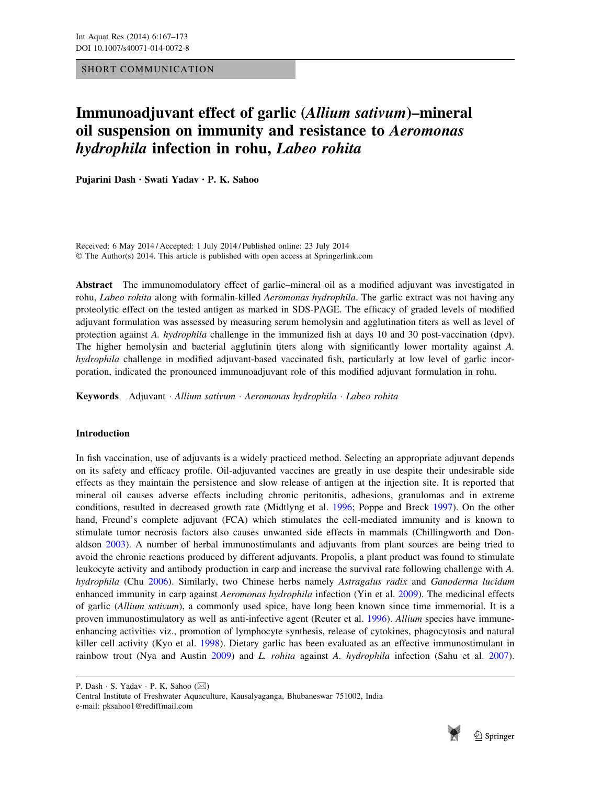SHORT COMMUNICATION

# Immunoadjuvant effect of garlic (Allium sativum)–mineral oil suspension on immunity and resistance to Aeromonas hydrophila infection in rohu, Labeo rohita

Pujarini Dash • Swati Yadav • P. K. Sahoo

Received: 6 May 2014 / Accepted: 1 July 2014 / Published online: 23 July 2014 © The Author(s) 2014. This article is published with open access at Springerlink.com

Abstract The immunomodulatory effect of garlic–mineral oil as a modified adjuvant was investigated in rohu, Labeo rohita along with formalin-killed Aeromonas hydrophila. The garlic extract was not having any proteolytic effect on the tested antigen as marked in SDS-PAGE. The efficacy of graded levels of modified adjuvant formulation was assessed by measuring serum hemolysin and agglutination titers as well as level of protection against A. hydrophila challenge in the immunized fish at days 10 and 30 post-vaccination (dpv). The higher hemolysin and bacterial agglutinin titers along with significantly lower mortality against A. hydrophila challenge in modified adjuvant-based vaccinated fish, particularly at low level of garlic incorporation, indicated the pronounced immunoadjuvant role of this modified adjuvant formulation in rohu.

Keywords Adjuvant · Allium sativum · Aeromonas hydrophila · Labeo rohita

# Introduction

In fish vaccination, use of adjuvants is a widely practiced method. Selecting an appropriate adjuvant depends on its safety and efficacy profile. Oil-adjuvanted vaccines are greatly in use despite their undesirable side effects as they maintain the persistence and slow release of antigen at the injection site. It is reported that mineral oil causes adverse effects including chronic peritonitis, adhesions, granulomas and in extreme conditions, resulted in decreased growth rate (Midtlyng et al. [1996](#page-5-0); Poppe and Breck [1997](#page-5-0)). On the other hand, Freund's complete adjuvant (FCA) which stimulates the cell-mediated immunity and is known to stimulate tumor necrosis factors also causes unwanted side effects in mammals (Chillingworth and Donaldson [2003\)](#page-5-0). A number of herbal immunostimulants and adjuvants from plant sources are being tried to avoid the chronic reactions produced by different adjuvants. Propolis, a plant product was found to stimulate leukocyte activity and antibody production in carp and increase the survival rate following challenge with A. hydrophila (Chu [2006\)](#page-5-0). Similarly, two Chinese herbs namely Astragalus radix and Ganoderma lucidum enhanced immunity in carp against Aeromonas hydrophila infection (Yin et al. [2009\)](#page-6-0). The medicinal effects of garlic (Allium sativum), a commonly used spice, have long been known since time immemorial. It is a proven immunostimulatory as well as anti-infective agent (Reuter et al. [1996\)](#page-6-0). Allium species have immuneenhancing activities viz., promotion of lymphocyte synthesis, release of cytokines, phagocytosis and natural killer cell activity (Kyo et al. [1998\)](#page-5-0). Dietary garlic has been evaluated as an effective immunostimulant in rainbow trout (Nya and Austin [2009](#page-5-0)) and L. rohita against A. hydrophila infection (Sahu et al. [2007\)](#page-6-0).

P. Dash · S. Yadav · P. K. Sahoo (⊠)

Central Institute of Freshwater Aquaculture, Kausalyaganga, Bhubaneswar 751002, India e-mail: pksahoo1@rediffmail.com

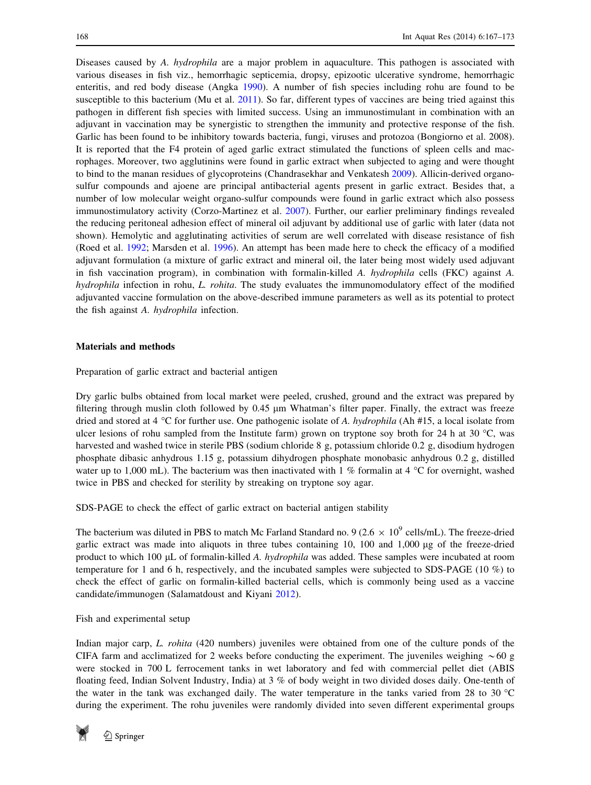Diseases caused by A. *hydrophila* are a major problem in aquaculture. This pathogen is associated with various diseases in fish viz., hemorrhagic septicemia, dropsy, epizootic ulcerative syndrome, hemorrhagic enteritis, and red body disease (Angka [1990\)](#page-5-0). A number of fish species including rohu are found to be susceptible to this bacterium (Mu et al. [2011\)](#page-5-0). So far, different types of vaccines are being tried against this pathogen in different fish species with limited success. Using an immunostimulant in combination with an adjuvant in vaccination may be synergistic to strengthen the immunity and protective response of the fish. Garlic has been found to be inhibitory towards bacteria, fungi, viruses and protozoa (Bongiorno et al. 2008). It is reported that the F4 protein of aged garlic extract stimulated the functions of spleen cells and macrophages. Moreover, two agglutinins were found in garlic extract when subjected to aging and were thought to bind to the manan residues of glycoproteins (Chandrasekhar and Venkatesh [2009\)](#page-5-0). Allicin-derived organosulfur compounds and ajoene are principal antibacterial agents present in garlic extract. Besides that, a number of low molecular weight organo-sulfur compounds were found in garlic extract which also possess immunostimulatory activity (Corzo-Martinez et al. [2007\)](#page-5-0). Further, our earlier preliminary findings revealed the reducing peritoneal adhesion effect of mineral oil adjuvant by additional use of garlic with later (data not shown). Hemolytic and agglutinating activities of serum are well correlated with disease resistance of fish (Roed et al. [1992](#page-6-0); Marsden et al. [1996\)](#page-5-0). An attempt has been made here to check the efficacy of a modified adjuvant formulation (a mixture of garlic extract and mineral oil, the later being most widely used adjuvant in fish vaccination program), in combination with formalin-killed A. hydrophila cells (FKC) against A. hydrophila infection in rohu, L. rohita. The study evaluates the immunomodulatory effect of the modified adjuvanted vaccine formulation on the above-described immune parameters as well as its potential to protect the fish against A. hydrophila infection.

## Materials and methods

Preparation of garlic extract and bacterial antigen

Dry garlic bulbs obtained from local market were peeled, crushed, ground and the extract was prepared by filtering through muslin cloth followed by  $0.45 \mu m$  Whatman's filter paper. Finally, the extract was freeze dried and stored at 4 °C for further use. One pathogenic isolate of A. hydrophila (Ah #15, a local isolate from ulcer lesions of rohu sampled from the Institute farm) grown on tryptone soy broth for 24 h at 30  $^{\circ}$ C, was harvested and washed twice in sterile PBS (sodium chloride 8 g, potassium chloride 0.2 g, disodium hydrogen phosphate dibasic anhydrous 1.15 g, potassium dihydrogen phosphate monobasic anhydrous 0.2 g, distilled water up to 1,000 mL). The bacterium was then inactivated with 1 % formalin at 4  $\degree$ C for overnight, washed twice in PBS and checked for sterility by streaking on tryptone soy agar.

SDS-PAGE to check the effect of garlic extract on bacterial antigen stability

The bacterium was diluted in PBS to match Mc Farland Standard no. 9 (2.6  $\times$  10<sup>9</sup> cells/mL). The freeze-dried garlic extract was made into aliquots in three tubes containing  $10$ ,  $100$  and  $1,000$   $\mu$ g of the freeze-dried product to which 100  $\mu$ L of formalin-killed A. *hydrophila* was added. These samples were incubated at room temperature for 1 and 6 h, respectively, and the incubated samples were subjected to SDS-PAGE (10 %) to check the effect of garlic on formalin-killed bacterial cells, which is commonly being used as a vaccine candidate/immunogen (Salamatdoust and Kiyani [2012\)](#page-6-0).

# Fish and experimental setup

Indian major carp, L. rohita (420 numbers) juveniles were obtained from one of the culture ponds of the CIFA farm and acclimatized for 2 weeks before conducting the experiment. The juveniles weighing  $\sim 60$  g were stocked in 700 L ferrocement tanks in wet laboratory and fed with commercial pellet diet (ABIS floating feed, Indian Solvent Industry, India) at 3 % of body weight in two divided doses daily. One-tenth of the water in the tank was exchanged daily. The water temperature in the tanks varied from 28 to 30  $^{\circ}$ C during the experiment. The rohu juveniles were randomly divided into seven different experimental groups

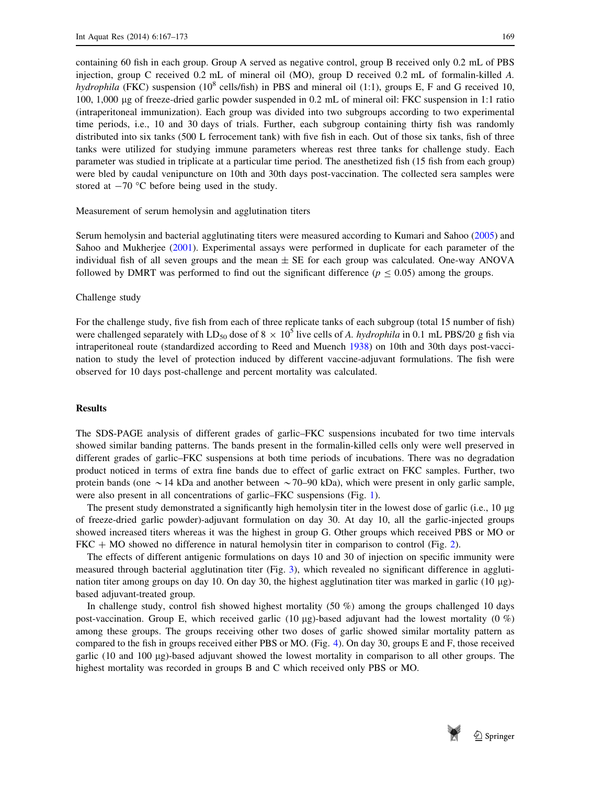containing 60 fish in each group. Group A served as negative control, group B received only 0.2 mL of PBS injection, group C received 0.2 mL of mineral oil (MO), group D received 0.2 mL of formalin-killed A. *hydrophila* (FKC) suspension (10<sup>8</sup> cells/fish) in PBS and mineral oil (1:1), groups E, F and G received 10, 100, 1,000 lg of freeze-dried garlic powder suspended in 0.2 mL of mineral oil: FKC suspension in 1:1 ratio (intraperitoneal immunization). Each group was divided into two subgroups according to two experimental time periods, i.e., 10 and 30 days of trials. Further, each subgroup containing thirty fish was randomly distributed into six tanks (500 L ferrocement tank) with five fish in each. Out of those six tanks, fish of three tanks were utilized for studying immune parameters whereas rest three tanks for challenge study. Each parameter was studied in triplicate at a particular time period. The anesthetized fish (15 fish from each group) were bled by caudal venipuncture on 10th and 30th days post-vaccination. The collected sera samples were stored at  $-70$  °C before being used in the study.

#### Measurement of serum hemolysin and agglutination titers

Serum hemolysin and bacterial agglutinating titers were measured according to Kumari and Sahoo [\(2005](#page-5-0)) and Sahoo and Mukherjee [\(2001](#page-6-0)). Experimental assays were performed in duplicate for each parameter of the individual fish of all seven groups and the mean  $\pm$  SE for each group was calculated. One-way ANOVA followed by DMRT was performed to find out the significant difference ( $p \le 0.05$ ) among the groups.

#### Challenge study

For the challenge study, five fish from each of three replicate tanks of each subgroup (total 15 number of fish) were challenged separately with LD<sub>50</sub> dose of 8  $\times$  10<sup>5</sup> live cells of A. hydrophila in 0.1 mL PBS/20 g fish via intraperitoneal route (standardized according to Reed and Muench [1938](#page-5-0)) on 10th and 30th days post-vaccination to study the level of protection induced by different vaccine-adjuvant formulations. The fish were observed for 10 days post-challenge and percent mortality was calculated.

## Results

The SDS-PAGE analysis of different grades of garlic–FKC suspensions incubated for two time intervals showed similar banding patterns. The bands present in the formalin-killed cells only were well preserved in different grades of garlic–FKC suspensions at both time periods of incubations. There was no degradation product noticed in terms of extra fine bands due to effect of garlic extract on FKC samples. Further, two protein bands (one  $\sim$  14 kDa and another between  $\sim$  70–90 kDa), which were present in only garlic sample, were also present in all concentrations of garlic–FKC suspensions (Fig. [1\)](#page-3-0).

The present study demonstrated a significantly high hemolysin titer in the lowest dose of garlic (i.e., 10 µg of freeze-dried garlic powder)-adjuvant formulation on day 30. At day 10, all the garlic-injected groups showed increased titers whereas it was the highest in group G. Other groups which received PBS or MO or  $FKC + MO$  showed no difference in natural hemolysin titer in comparison to control (Fig. [2\)](#page-3-0).

The effects of different antigenic formulations on days 10 and 30 of injection on specific immunity were measured through bacterial agglutination titer (Fig. [3](#page-3-0)), which revealed no significant difference in agglutination titer among groups on day 10. On day 30, the highest agglutination titer was marked in garlic  $(10 \mu g)$ based adjuvant-treated group.

In challenge study, control fish showed highest mortality (50 %) among the groups challenged 10 days post-vaccination. Group E, which received garlic (10  $\mu$ g)-based adjuvant had the lowest mortality (0 %) among these groups. The groups receiving other two doses of garlic showed similar mortality pattern as compared to the fish in groups received either PBS or MO. (Fig. [4](#page-3-0)). On day 30, groups E and F, those received garlic (10 and 100 µg)-based adjuvant showed the lowest mortality in comparison to all other groups. The highest mortality was recorded in groups B and C which received only PBS or MO.

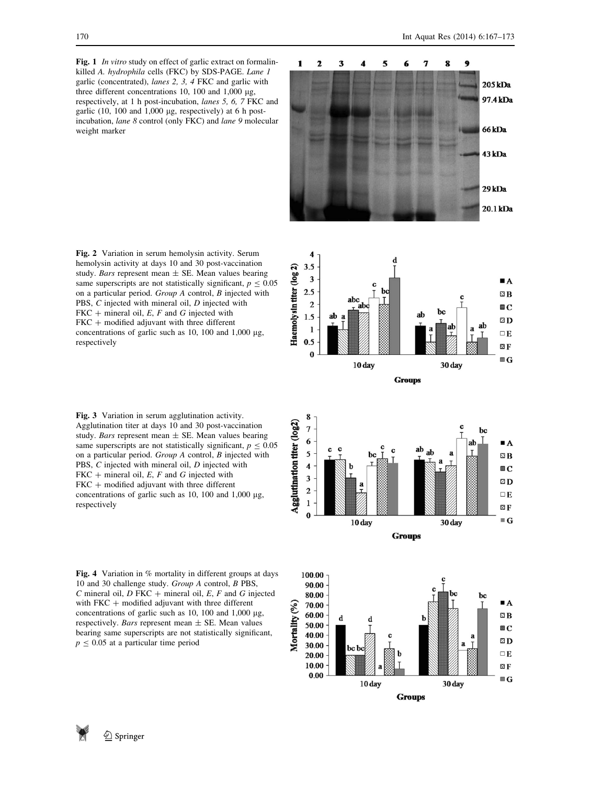<span id="page-3-0"></span>Fig. 1 *In vitro* study on effect of garlic extract on formalinkilled A. hydrophila cells (FKC) by SDS-PAGE. Lane 1 garlic (concentrated), lanes 2, 3, 4 FKC and garlic with three different concentrations 10, 100 and 1,000  $\mu$ g, respectively, at 1 h post-incubation, lanes 5, 6, 7 FKC and garlic (10, 100 and 1,000  $\mu$ g, respectively) at 6 h postincubation, lane 8 control (only FKC) and lane 9 molecular weight marker





same superscripts are not statistically significant,  $p \le 0.05$ on a particular period. Group A control, B injected with PBS, C injected with mineral oil, D injected with  $FKC + mineral$  oil, E, F and G injected with  $FKC + modified$  adjuvant with three different concentrations of garlic such as 10, 100 and 1,000  $\mu$ g, respectively

Fig. 3 Variation in serum agglutination activity. Agglutination titer at days 10 and 30 post-vaccination study. Bars represent mean  $\pm$  SE. Mean values bearing same superscripts are not statistically significant,  $p \le 0.05$ on a particular period. Group A control, B injected with PBS, C injected with mineral oil, D injected with  $FKC + mineral$  oil, E, F and G injected with  $FKC + modified$  adjuvant with three different concentrations of garlic such as 10, 100 and 1,000  $\mu$ g, respectively

Fig. 4 Variation in % mortality in different groups at days 10 and 30 challenge study. Group A control, B PBS, C mineral oil,  $D$  FKC + mineral oil,  $E$ ,  $F$  and  $G$  injected with FKC  $+$  modified adjuvant with three different concentrations of garlic such as 10, 100 and 1,000  $\mu$ g, respectively. Bars represent mean  $\pm$  SE. Mean values bearing same superscripts are not statistically significant,  $p \leq 0.05$  at a particular time period







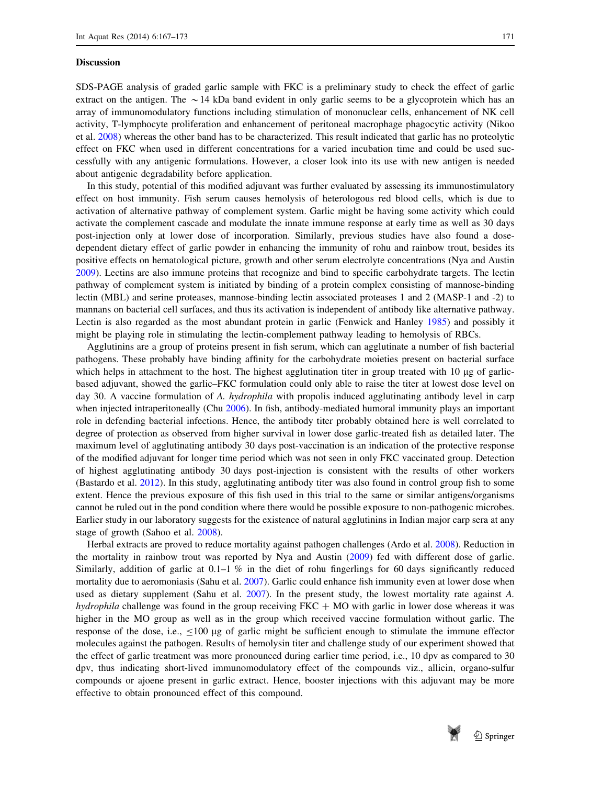#### **Discussion**

SDS-PAGE analysis of graded garlic sample with FKC is a preliminary study to check the effect of garlic extract on the antigen. The  $\sim$  14 kDa band evident in only garlic seems to be a glycoprotein which has an array of immunomodulatory functions including stimulation of mononuclear cells, enhancement of NK cell activity, T-lymphocyte proliferation and enhancement of peritoneal macrophage phagocytic activity (Nikoo et al. [2008\)](#page-5-0) whereas the other band has to be characterized. This result indicated that garlic has no proteolytic effect on FKC when used in different concentrations for a varied incubation time and could be used successfully with any antigenic formulations. However, a closer look into its use with new antigen is needed about antigenic degradability before application.

In this study, potential of this modified adjuvant was further evaluated by assessing its immunostimulatory effect on host immunity. Fish serum causes hemolysis of heterologous red blood cells, which is due to activation of alternative pathway of complement system. Garlic might be having some activity which could activate the complement cascade and modulate the innate immune response at early time as well as 30 days post-injection only at lower dose of incorporation. Similarly, previous studies have also found a dosedependent dietary effect of garlic powder in enhancing the immunity of rohu and rainbow trout, besides its positive effects on hematological picture, growth and other serum electrolyte concentrations (Nya and Austin [2009](#page-5-0)). Lectins are also immune proteins that recognize and bind to specific carbohydrate targets. The lectin pathway of complement system is initiated by binding of a protein complex consisting of mannose-binding lectin (MBL) and serine proteases, mannose-binding lectin associated proteases 1 and 2 (MASP-1 and -2) to mannans on bacterial cell surfaces, and thus its activation is independent of antibody like alternative pathway. Lectin is also regarded as the most abundant protein in garlic (Fenwick and Hanley [1985\)](#page-5-0) and possibly it might be playing role in stimulating the lectin-complement pathway leading to hemolysis of RBCs.

Agglutinins are a group of proteins present in fish serum, which can agglutinate a number of fish bacterial pathogens. These probably have binding affinity for the carbohydrate moieties present on bacterial surface which helps in attachment to the host. The highest agglutination titer in group treated with 10 µg of garlicbased adjuvant, showed the garlic–FKC formulation could only able to raise the titer at lowest dose level on day 30. A vaccine formulation of A. *hydrophila* with propolis induced agglutinating antibody level in carp when injected intraperitoneally (Chu [2006\)](#page-5-0). In fish, antibody-mediated humoral immunity plays an important role in defending bacterial infections. Hence, the antibody titer probably obtained here is well correlated to degree of protection as observed from higher survival in lower dose garlic-treated fish as detailed later. The maximum level of agglutinating antibody 30 days post-vaccination is an indication of the protective response of the modified adjuvant for longer time period which was not seen in only FKC vaccinated group. Detection of highest agglutinating antibody 30 days post-injection is consistent with the results of other workers (Bastardo et al. [2012](#page-5-0)). In this study, agglutinating antibody titer was also found in control group fish to some extent. Hence the previous exposure of this fish used in this trial to the same or similar antigens/organisms cannot be ruled out in the pond condition where there would be possible exposure to non-pathogenic microbes. Earlier study in our laboratory suggests for the existence of natural agglutinins in Indian major carp sera at any stage of growth (Sahoo et al. [2008\)](#page-6-0).

Herbal extracts are proved to reduce mortality against pathogen challenges (Ardo et al. [2008\)](#page-5-0). Reduction in the mortality in rainbow trout was reported by Nya and Austin [\(2009](#page-5-0)) fed with different dose of garlic. Similarly, addition of garlic at  $0.1-1\%$  in the diet of rohu fingerlings for 60 days significantly reduced mortality due to aeromoniasis (Sahu et al. [2007\)](#page-6-0). Garlic could enhance fish immunity even at lower dose when used as dietary supplement (Sahu et al. [2007](#page-6-0)). In the present study, the lowest mortality rate against A. *hydrophila* challenge was found in the group receiving  $FKC + MO$  with garlic in lower dose whereas it was higher in the MO group as well as in the group which received vaccine formulation without garlic. The response of the dose, i.e.,  $\leq 100 \mu$ g of garlic might be sufficient enough to stimulate the immune effector molecules against the pathogen. Results of hemolysin titer and challenge study of our experiment showed that the effect of garlic treatment was more pronounced during earlier time period, i.e., 10 dpv as compared to 30 dpv, thus indicating short-lived immunomodulatory effect of the compounds viz., allicin, organo-sulfur compounds or ajoene present in garlic extract. Hence, booster injections with this adjuvant may be more effective to obtain pronounced effect of this compound.

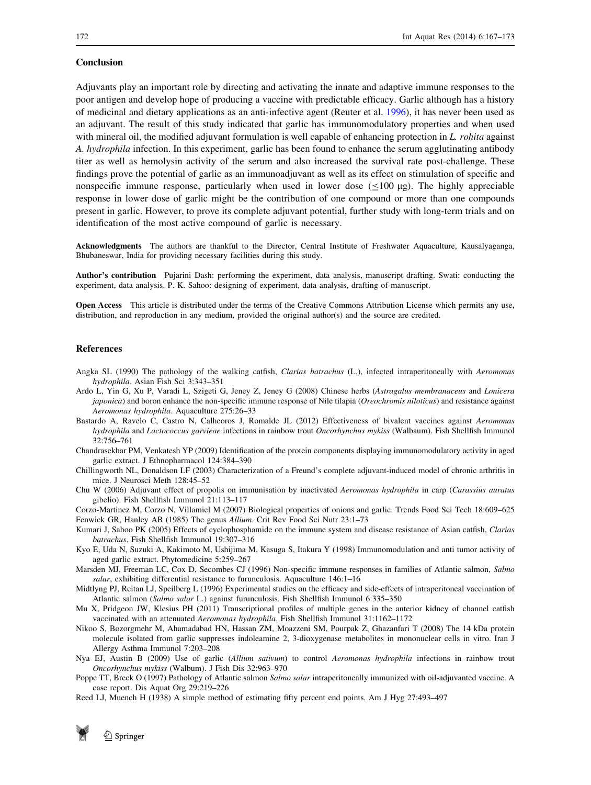### <span id="page-5-0"></span>Conclusion

Adjuvants play an important role by directing and activating the innate and adaptive immune responses to the poor antigen and develop hope of producing a vaccine with predictable efficacy. Garlic although has a history of medicinal and dietary applications as an anti-infective agent (Reuter et al. [1996](#page-6-0)), it has never been used as an adjuvant. The result of this study indicated that garlic has immunomodulatory properties and when used with mineral oil, the modified adjuvant formulation is well capable of enhancing protection in L. rohita against A. hydrophila infection. In this experiment, garlic has been found to enhance the serum agglutinating antibody titer as well as hemolysin activity of the serum and also increased the survival rate post-challenge. These findings prove the potential of garlic as an immunoadjuvant as well as its effect on stimulation of specific and nonspecific immune response, particularly when used in lower dose  $(100 \mu g)$ . The highly appreciable response in lower dose of garlic might be the contribution of one compound or more than one compounds present in garlic. However, to prove its complete adjuvant potential, further study with long-term trials and on identification of the most active compound of garlic is necessary.

Acknowledgments The authors are thankful to the Director, Central Institute of Freshwater Aquaculture, Kausalyaganga, Bhubaneswar, India for providing necessary facilities during this study.

Author's contribution Pujarini Dash: performing the experiment, data analysis, manuscript drafting. Swati: conducting the experiment, data analysis. P. K. Sahoo: designing of experiment, data analysis, drafting of manuscript.

Open Access This article is distributed under the terms of the Creative Commons Attribution License which permits any use, distribution, and reproduction in any medium, provided the original author(s) and the source are credited.

#### References

- Angka SL (1990) The pathology of the walking catfish, *Clarias batrachus* (L.), infected intraperitoneally with *Aeromonas* hydrophila. Asian Fish Sci 3:343–351
- Ardo L, Yin G, Xu P, Varadi L, Szigeti G, Jeney Z, Jeney G (2008) Chinese herbs (Astragalus membranaceus and Lonicera *japonica*) and boron enhance the non-specific immune response of Nile tilapia (Oreochromis niloticus) and resistance against Aeromonas hydrophila. Aquaculture 275:26–33
- Bastardo A, Ravelo C, Castro N, Calheoros J, Romalde JL (2012) Effectiveness of bivalent vaccines against Aeromonas hydrophila and Lactococcus garvieae infections in rainbow trout Oncorhynchus mykiss (Walbaum). Fish Shellfish Immunol 32:756–761
- Chandrasekhar PM, Venkatesh YP (2009) Identification of the protein components displaying immunomodulatory activity in aged garlic extract. J Ethnopharmacol 124:384–390
- Chillingworth NL, Donaldson LF (2003) Characterization of a Freund's complete adjuvant-induced model of chronic arthritis in mice. J Neurosci Meth 128:45–52
- Chu W (2006) Adjuvant effect of propolis on immunisation by inactivated Aeromonas hydrophila in carp (Carassius auratus gibelio). Fish Shellfish Immunol 21:113–117

Corzo-Martinez M, Corzo N, Villamiel M (2007) Biological properties of onions and garlic. Trends Food Sci Tech 18:609–625 Fenwick GR, Hanley AB (1985) The genus Allium. Crit Rev Food Sci Nutr 23:1–73

- Kumari J, Sahoo PK (2005) Effects of cyclophosphamide on the immune system and disease resistance of Asian catfish, Clarias batrachus. Fish Shellfish Immunol 19:307–316
- Kyo E, Uda N, Suzuki A, Kakimoto M, Ushijima M, Kasuga S, Itakura Y (1998) Immunomodulation and anti tumor activity of aged garlic extract. Phytomedicine 5:259–267
- Marsden MJ, Freeman LC, Cox D, Secombes CJ (1996) Non-specific immune responses in families of Atlantic salmon, Salmo salar, exhibiting differential resistance to furunculosis. Aquaculture 146:1–16
- Midtlyng PJ, Reitan LJ, Speilberg L (1996) Experimental studies on the efficacy and side-effects of intraperitoneal vaccination of Atlantic salmon (Salmo salar L.) against furunculosis. Fish Shellfish Immunol 6:335–350
- Mu X, Pridgeon JW, Klesius PH (2011) Transcriptional profiles of multiple genes in the anterior kidney of channel catfish vaccinated with an attenuated Aeromonas hydrophila. Fish Shellfish Immunol 31:1162–1172
- Nikoo S, Bozorgmehr M, Ahamadabad HN, Hassan ZM, Moazzeni SM, Pourpak Z, Ghazanfari T (2008) The 14 kDa protein molecule isolated from garlic suppresses indoleamine 2, 3-dioxygenase metabolites in mononuclear cells in vitro. Iran J Allergy Asthma Immunol 7:203–208
- Nya EJ, Austin B (2009) Use of garlic (Allium sativum) to control Aeromonas hydrophila infections in rainbow trout Oncorhynchus mykiss (Walbum). J Fish Dis 32:963–970
- Poppe TT, Breck O (1997) Pathology of Atlantic salmon Salmo salar intraperitoneally immunized with oil-adjuvanted vaccine. A case report. Dis Aquat Org 29:219–226
- Reed LJ, Muench H (1938) A simple method of estimating fifty percent end points. Am J Hyg 27:493–497